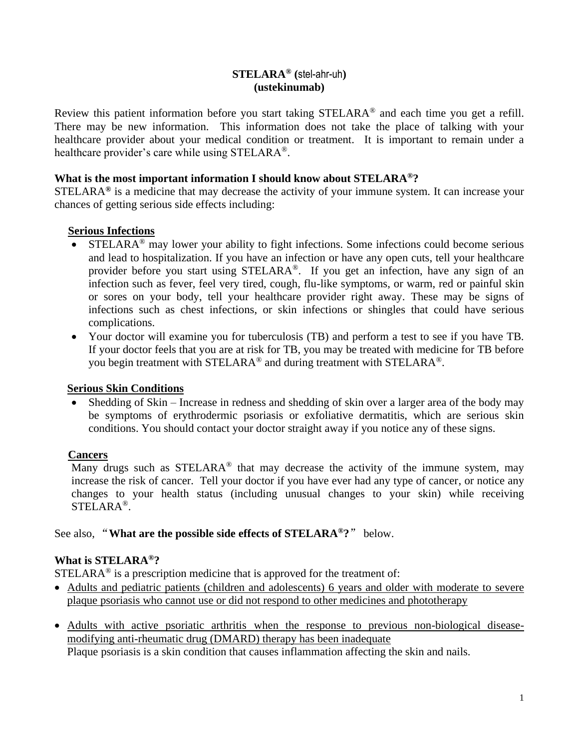## **STELARA® (**stel-ahr-uh**) (ustekinumab)**

Review this patient information before you start taking STELARA® and each time you get a refill. There may be new information. This information does not take the place of talking with your healthcare provider about your medical condition or treatment. It is important to remain under a healthcare provider's care while using STELARA®.

### **What is the most important information I should know about STELARA®?**

STELARA**®** is a medicine that may decrease the activity of your immune system. It can increase your chances of getting serious side effects including:

### **Serious Infections**

- STELARA<sup>®</sup> may lower your ability to fight infections. Some infections could become serious and lead to hospitalization. If you have an infection or have any open cuts, tell your healthcare provider before you start using STELARA®. If you get an infection, have any sign of an infection such as fever, feel very tired, cough, flu-like symptoms, or warm, red or painful skin or sores on your body, tell your healthcare provider right away. These may be signs of infections such as chest infections, or skin infections or shingles that could have serious complications.
- Your doctor will examine you for tuberculosis (TB) and perform a test to see if you have TB. If your doctor feels that you are at risk for TB, you may be treated with medicine for TB before you begin treatment with STELARA® and during treatment with STELARA®.

### **Serious Skin Conditions**

• Shedding of Skin – Increase in redness and shedding of skin over a larger area of the body may be symptoms of erythrodermic psoriasis or exfoliative dermatitis, which are serious skin conditions. You should contact your doctor straight away if you notice any of these signs.

# **Cancers**

Many drugs such as STELARA<sup>®</sup> that may decrease the activity of the immune system, may increase the risk of cancer. Tell your doctor if you have ever had any type of cancer, or notice any changes to your health status (including unusual changes to your skin) while receiving STELARA®.

See also, "**What are the possible side effects of STELARA®?**" below.

# **What is STELARA®?**

 $STELARA<sup>®</sup>$  is a prescription medicine that is approved for the treatment of:

- Adults and pediatric patients (children and adolescents) 6 years and older with moderate to severe plaque psoriasis who cannot use or did not respond to other medicines and phototherapy
- Adults with active psoriatic arthritis when the response to previous non-biological diseasemodifying anti-rheumatic drug (DMARD) therapy has been inadequate Plaque psoriasis is a skin condition that causes inflammation affecting the skin and nails.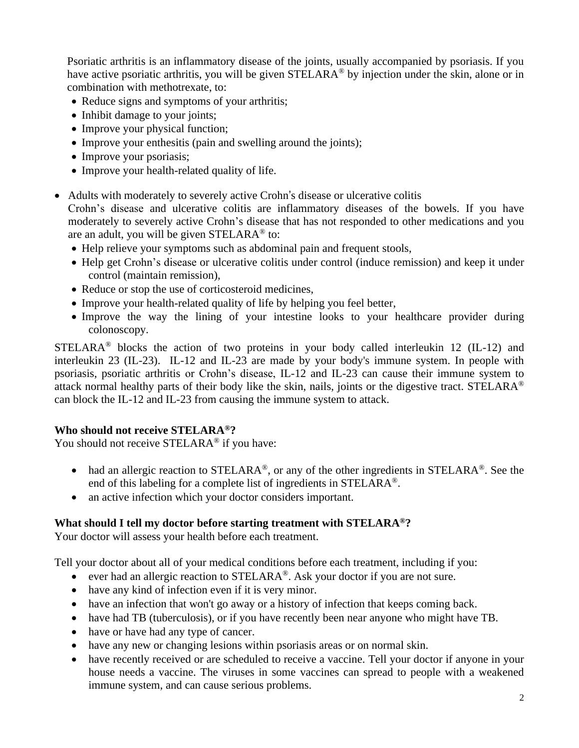Psoriatic arthritis is an inflammatory disease of the joints, usually accompanied by psoriasis. If you have active psoriatic arthritis, you will be given STELARA<sup>®</sup> by injection under the skin, alone or in combination with methotrexate, to:

- Reduce signs and symptoms of your arthritis;
- Inhibit damage to your joints;
- Improve your physical function;
- Improve your enthesitis (pain and swelling around the joints);
- Improve your psoriasis;
- Improve your health-related quality of life.
- Adults with moderately to severely active Crohn's disease or ulcerative colitis

Crohn's disease and ulcerative colitis are inflammatory diseases of the bowels. If you have moderately to severely active Crohn's disease that has not responded to other medications and you are an adult, you will be given STELARA® to:

- Help relieve your symptoms such as abdominal pain and frequent stools,
- Help get Crohn's disease or ulcerative colitis under control (induce remission) and keep it under control (maintain remission),
- Reduce or stop the use of corticosteroid medicines,
- Improve your health-related quality of life by helping you feel better,
- Improve the way the lining of your intestine looks to your healthcare provider during colonoscopy.

STELARA<sup>®</sup> blocks the action of two proteins in your body called interleukin 12 (IL-12) and interleukin 23 (IL-23). IL-12 and IL-23 are made by your body's immune system. In people with psoriasis, psoriatic arthritis or Crohn's disease, IL-12 and IL-23 can cause their immune system to attack normal healthy parts of their body like the skin, nails, joints or the digestive tract. STELARA® can block the IL-12 and IL-23 from causing the immune system to attack.

# **Who should not receive STELARA®?**

You should not receive STELARA<sup>®</sup> if you have:

- had an allergic reaction to STELARA<sup>®</sup>, or any of the other ingredients in STELARA<sup>®</sup>. See the end of this labeling for a complete list of ingredients in STELARA®.
- an active infection which your doctor considers important.

# **What should I tell my doctor before starting treatment with STELARA®?**

Your doctor will assess your health before each treatment.

Tell your doctor about all of your medical conditions before each treatment, including if you:

- ever had an allergic reaction to STELARA<sup>®</sup>. Ask your doctor if you are not sure.
- have any kind of infection even if it is very minor.
- have an infection that won't go away or a history of infection that keeps coming back.
- have had TB (tuberculosis), or if you have recently been near anyone who might have TB.
- have or have had any type of cancer.
- have any new or changing lesions within psoriasis areas or on normal skin.
- have recently received or are scheduled to receive a vaccine. Tell your doctor if anyone in your house needs a vaccine. The viruses in some vaccines can spread to people with a weakened immune system, and can cause serious problems.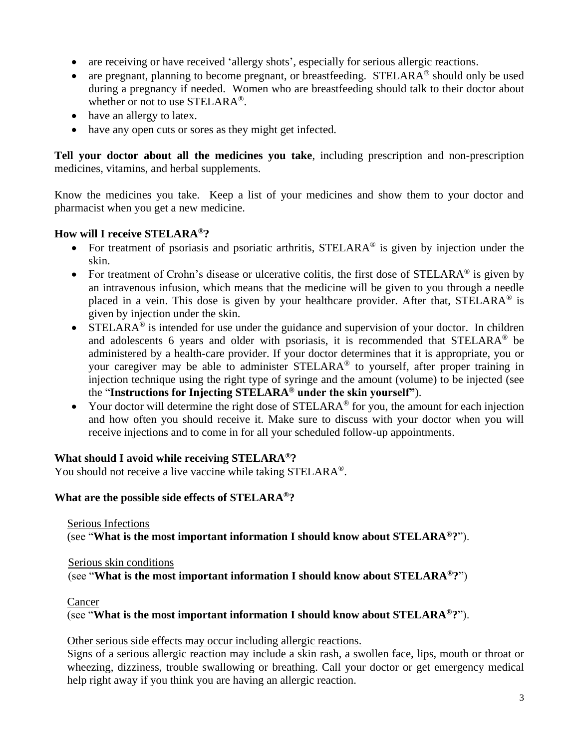- are receiving or have received 'allergy shots', especially for serious allergic reactions.
- are pregnant, planning to become pregnant, or breastfeeding.  $STELARA^{\circledcirc}$  should only be used during a pregnancy if needed. Women who are breastfeeding should talk to their doctor about whether or not to use STELARA®.
- have an allergy to latex.
- have any open cuts or sores as they might get infected.

**Tell your doctor about all the medicines you take**, including prescription and non-prescription medicines, vitamins, and herbal supplements.

Know the medicines you take. Keep a list of your medicines and show them to your doctor and pharmacist when you get a new medicine.

# **How will I receive STELARA®?**

- For treatment of psoriasis and psoriatic arthritis,  $STELARA^{\circledcirc}$  is given by injection under the skin.
- For treatment of Crohn's disease or ulcerative colitis, the first dose of STELARA<sup>®</sup> is given by an intravenous infusion, which means that the medicine will be given to you through a needle placed in a vein. This dose is given by your healthcare provider. After that, STELARA<sup>®</sup> is given by injection under the skin.
- STELARA<sup>®</sup> is intended for use under the guidance and supervision of your doctor. In children and adolescents 6 years and older with psoriasis, it is recommended that STELARA® be administered by a health-care provider. If your doctor determines that it is appropriate, you or your caregiver may be able to administer STELARA® to yourself, after proper training in injection technique using the right type of syringe and the amount (volume) to be injected (see the "**Instructions for Injecting STELARA® under the skin yourself"**).
- Your doctor will determine the right dose of  $STELARA^{\circledcirc}$  for you, the amount for each injection and how often you should receive it. Make sure to discuss with your doctor when you will receive injections and to come in for all your scheduled follow-up appointments.

# **What should I avoid while receiving STELARA®?**

You should not receive a live vaccine while taking STELARA<sup>®</sup>.

# **What are the possible side effects of STELARA®?**

Serious Infections (see "**What is the most important information I should know about STELARA®?**").

Serious skin conditions (see "**What is the most important information I should know about STELARA®?**")

Cancer

(see "**What is the most important information I should know about STELARA®?**").

Other serious side effects may occur including allergic reactions.

Signs of a serious allergic reaction may include a skin rash, a swollen face, lips, mouth or throat or wheezing, dizziness, trouble swallowing or breathing. Call your doctor or get emergency medical help right away if you think you are having an allergic reaction.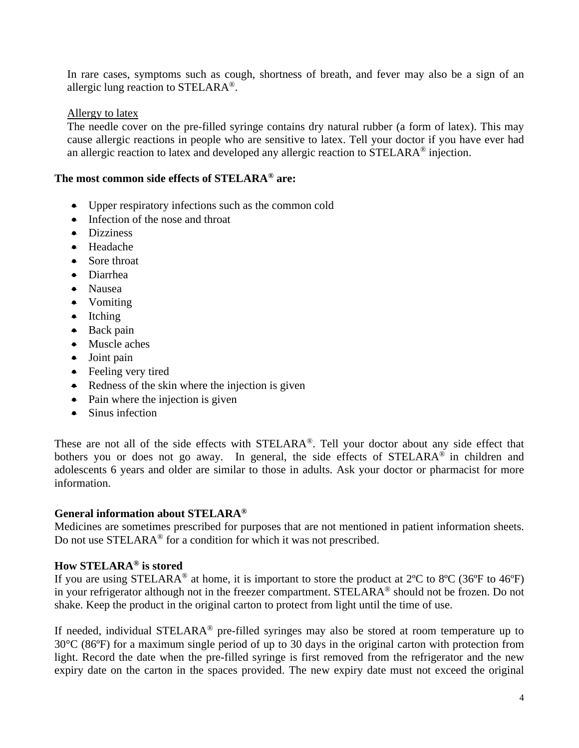In rare cases, symptoms such as cough, shortness of breath, and fever may also be a sign of an allergic lung reaction to  $STELARA^{\circledR}$ .

### Allergy to latex

The needle cover on the pre-filled syringe contains dry natural rubber (a form of latex). This may cause allergic reactions in people who are sensitive to latex. Tell your doctor if you have ever had an allergic reaction to latex and developed any allergic reaction to STELARA® injection.

### **The most common side effects of STELARA® are:**

- Upper respiratory infections such as the common cold
- Infection of the nose and throat
- Dizziness
- Headache
- Sore throat
- Diarrhea
- Nausea
- Vomiting
- Itching
- Back pain
- Muscle aches
- Joint pain
- Feeling very tired
- Redness of the skin where the injection is given
- Pain where the injection is given
- Sinus infection

These are not all of the side effects with STELARA®. Tell your doctor about any side effect that bothers you or does not go away. In general, the side effects of STELARA® in children and adolescents 6 years and older are similar to those in adults. Ask your doctor or pharmacist for more information.

### **General information about STELARA®**

Medicines are sometimes prescribed for purposes that are not mentioned in patient information sheets. Do not use STELARA® for a condition for which it was not prescribed.

# **How STELARA® is stored**

If you are using STELARA<sup>®</sup> at home, it is important to store the product at  $2^{\circ}C$  to  $8^{\circ}C$  (36°F to 46°F) in your refrigerator although not in the freezer compartment. STELARA<sup>®</sup> should not be frozen. Do not shake. Keep the product in the original carton to protect from light until the time of use.

If needed, individual STELARA® pre-filled syringes may also be stored at room temperature up to 30°C (86ºF) for a maximum single period of up to 30 days in the original carton with protection from light. Record the date when the pre-filled syringe is first removed from the refrigerator and the new expiry date on the carton in the spaces provided. The new expiry date must not exceed the original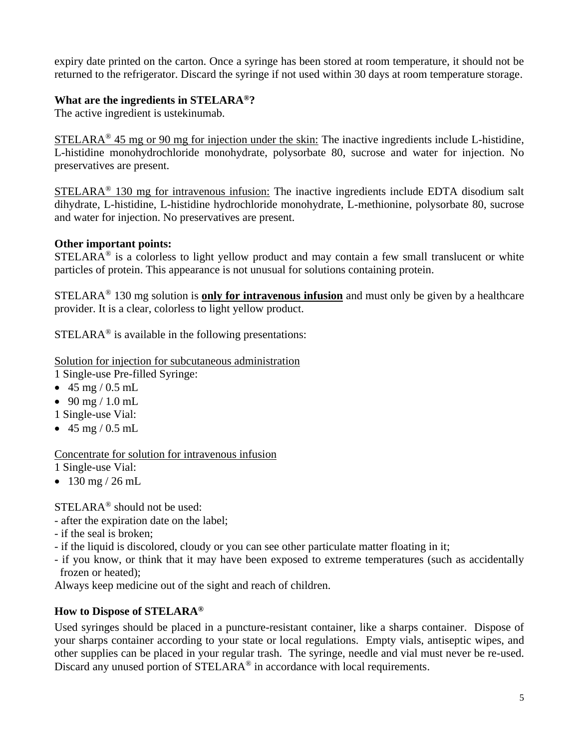expiry date printed on the carton. Once a syringe has been stored at room temperature, it should not be returned to the refrigerator. Discard the syringe if not used within 30 days at room temperature storage.

## **What are the ingredients in STELARA®?**

The active ingredient is ustekinumab.

 $STELARA<sup>®</sup>$  45 mg or 90 mg for injection under the skin: The inactive ingredients include L-histidine, L-histidine monohydrochloride monohydrate, polysorbate 80, sucrose and water for injection. No preservatives are present.

STELARA<sup>®</sup> 130 mg for intravenous infusion: The inactive ingredients include EDTA disodium salt dihydrate, L-histidine, L-histidine hydrochloride monohydrate, L-methionine, polysorbate 80, sucrose and water for injection. No preservatives are present.

# **Other important points:**

 $STELARA<sup>®</sup>$  is a colorless to light yellow product and may contain a few small translucent or white particles of protein. This appearance is not unusual for solutions containing protein.

STELARA® 130 mg solution is **only for intravenous infusion** and must only be given by a healthcare provider. It is a clear, colorless to light yellow product.

 $STELARA<sup>®</sup>$  is available in the following presentations:

Solution for injection for subcutaneous administration 1 Single-use Pre-filled Syringe:

- 45 mg / 0.5 mL
- 90 mg / 1.0 mL
- 1 Single-use Vial:
- $45 \text{ mg} / 0.5 \text{ mL}$

Concentrate for solution for intravenous infusion 1 Single-use Vial:

•  $130 \text{ mg} / 26 \text{ mL}$ 

STELARA® should not be used:

- after the expiration date on the label;
- if the seal is broken;
- if the liquid is discolored, cloudy or you can see other particulate matter floating in it;
- if you know, or think that it may have been exposed to extreme temperatures (such as accidentally frozen or heated);

Always keep medicine out of the sight and reach of children.

# **How to Dispose of STELARA®**

Used syringes should be placed in a puncture-resistant container, like a sharps container. Dispose of your sharps container according to your state or local regulations. Empty vials, antiseptic wipes, and other supplies can be placed in your regular trash. The syringe, needle and vial must never be re-used. Discard any unused portion of STELARA<sup>®</sup> in accordance with local requirements.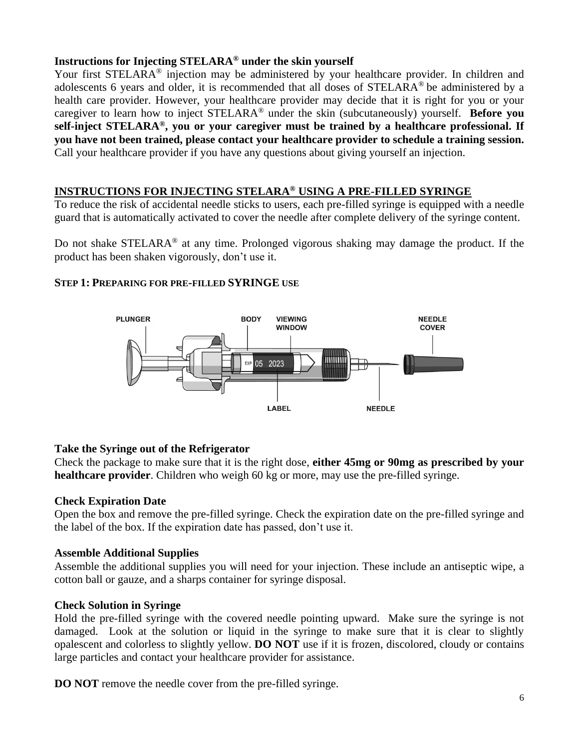# **Instructions for Injecting STELARA® under the skin yourself**

Your first STELARA<sup>®</sup> injection may be administered by your healthcare provider. In children and adolescents 6 years and older, it is recommended that all doses of STELARA® be administered by a health care provider. However, your healthcare provider may decide that it is right for you or your caregiver to learn how to inject STELARA® under the skin (subcutaneously) yourself. **Before you self-inject STELARA®, you or your caregiver must be trained by a healthcare professional. If you have not been trained, please contact your healthcare provider to schedule a training session.**  Call your healthcare provider if you have any questions about giving yourself an injection.

# **INSTRUCTIONS FOR INJECTING STELARA® USING A PRE-FILLED SYRINGE**

To reduce the risk of accidental needle sticks to users, each pre-filled syringe is equipped with a needle guard that is automatically activated to cover the needle after complete delivery of the syringe content.

Do not shake STELARA® at any time. Prolonged vigorous shaking may damage the product. If the product has been shaken vigorously, don't use it.

# **STEP 1: PREPARING FOR PRE-FILLED SYRINGE USE**



# **Take the Syringe out of the Refrigerator**

Check the package to make sure that it is the right dose, **either 45mg or 90mg as prescribed by your healthcare provider**. Children who weigh 60 kg or more, may use the pre-filled syringe.

# **Check Expiration Date**

Open the box and remove the pre-filled syringe. Check the expiration date on the pre-filled syringe and the label of the box. If the expiration date has passed, don't use it.

# **Assemble Additional Supplies**

Assemble the additional supplies you will need for your injection. These include an antiseptic wipe, a cotton ball or gauze, and a sharps container for syringe disposal.

# **Check Solution in Syringe**

Hold the pre-filled syringe with the covered needle pointing upward. Make sure the syringe is not damaged. Look at the solution or liquid in the syringe to make sure that it is clear to slightly opalescent and colorless to slightly yellow. **DO NOT** use if it is frozen, discolored, cloudy or contains large particles and contact your healthcare provider for assistance.

**DO NOT** remove the needle cover from the pre-filled syringe.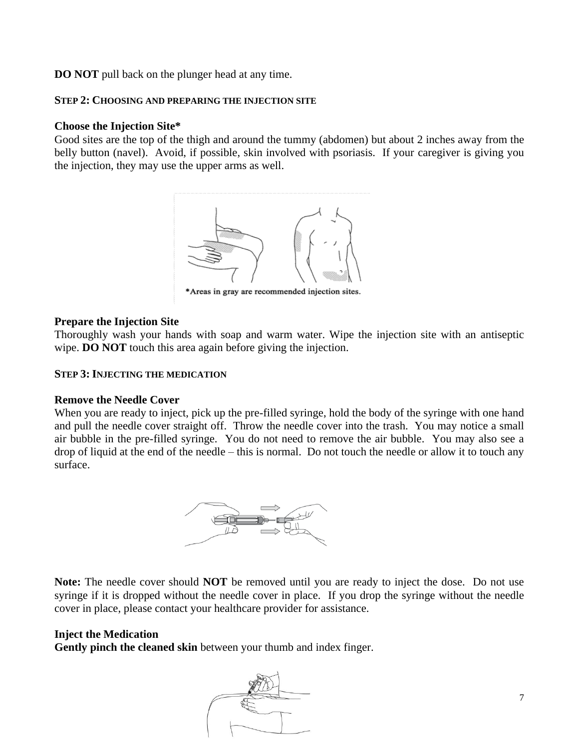**DO NOT** pull back on the plunger head at any time.

### **STEP 2: CHOOSING AND PREPARING THE INJECTION SITE**

### **Choose the Injection Site\***

Good sites are the top of the thigh and around the tummy (abdomen) but about 2 inches away from the belly button (navel). Avoid, if possible, skin involved with psoriasis. If your caregiver is giving you the injection, they may use the upper arms as well.



\*Areas in gray are recommended injection sites.

### **Prepare the Injection Site**

Thoroughly wash your hands with soap and warm water. Wipe the injection site with an antiseptic wipe. **DO NOT** touch this area again before giving the injection.

### **STEP 3: INJECTING THE MEDICATION**

#### **Remove the Needle Cover**

When you are ready to inject, pick up the pre-filled syringe, hold the body of the syringe with one hand and pull the needle cover straight off. Throw the needle cover into the trash. You may notice a small air bubble in the pre-filled syringe. You do not need to remove the air bubble. You may also see a drop of liquid at the end of the needle – this is normal. Do not touch the needle or allow it to touch any surface.



**Note:** The needle cover should **NOT** be removed until you are ready to inject the dose. Do not use syringe if it is dropped without the needle cover in place. If you drop the syringe without the needle cover in place, please contact your healthcare provider for assistance.

### **Inject the Medication**

**Gently pinch the cleaned skin** between your thumb and index finger.

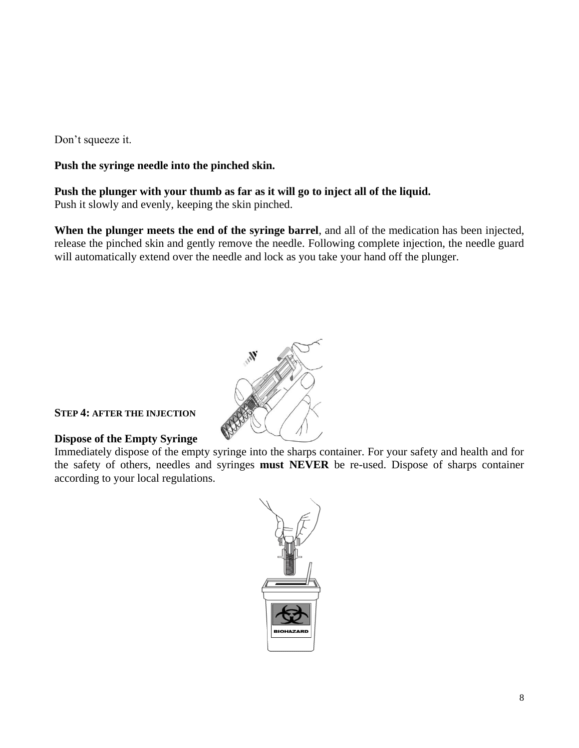Don't squeeze it.

# **Push the syringe needle into the pinched skin.**

# **Push the plunger with your thumb as far as it will go to inject all of the liquid.**

Push it slowly and evenly, keeping the skin pinched.

**When the plunger meets the end of the syringe barrel**, and all of the medication has been injected, release the pinched skin and gently remove the needle. Following complete injection, the needle guard will automatically extend over the needle and lock as you take your hand off the plunger.



### **STEP 4: AFTER THE INJECTION**

# **Dispose of the Empty Syringe**

Immediately dispose of the empty syringe into the sharps container. For your safety and health and for the safety of others, needles and syringes **must NEVER** be re-used. Dispose of sharps container according to your local regulations.

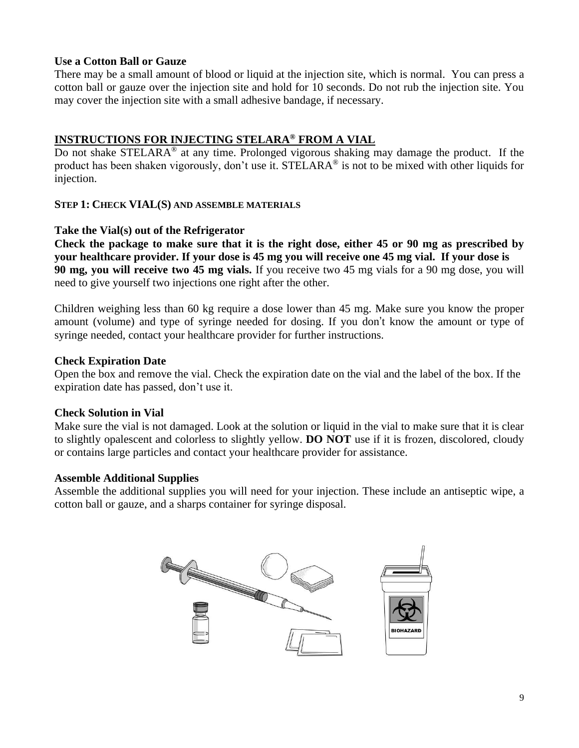### **Use a Cotton Ball or Gauze**

There may be a small amount of blood or liquid at the injection site, which is normal. You can press a cotton ball or gauze over the injection site and hold for 10 seconds. Do not rub the injection site. You may cover the injection site with a small adhesive bandage, if necessary.

# **INSTRUCTIONS FOR INJECTING STELARA® FROM A VIAL**

Do not shake STELARA<sup>®</sup> at any time. Prolonged vigorous shaking may damage the product. If the product has been shaken vigorously, don't use it. STELARA<sup>®</sup> is not to be mixed with other liquids for injection.

### **STEP 1: CHECK VIAL(S) AND ASSEMBLE MATERIALS**

### **Take the Vial(s) out of the Refrigerator**

**Check the package to make sure that it is the right dose, either 45 or 90 mg as prescribed by your healthcare provider. If your dose is 45 mg you will receive one 45 mg vial. If your dose is 90 mg, you will receive two 45 mg vials.** If you receive two 45 mg vials for a 90 mg dose, you will need to give yourself two injections one right after the other.

Children weighing less than 60 kg require a dose lower than 45 mg. Make sure you know the proper amount (volume) and type of syringe needed for dosing. If you don't know the amount or type of syringe needed, contact your healthcare provider for further instructions.

### **Check Expiration Date**

Open the box and remove the vial. Check the expiration date on the vial and the label of the box. If the expiration date has passed, don't use it.

# **Check Solution in Vial**

Make sure the vial is not damaged. Look at the solution or liquid in the vial to make sure that it is clear to slightly opalescent and colorless to slightly yellow. **DO NOT** use if it is frozen, discolored, cloudy or contains large particles and contact your healthcare provider for assistance.

# **Assemble Additional Supplies**

Assemble the additional supplies you will need for your injection. These include an antiseptic wipe, a cotton ball or gauze, and a sharps container for syringe disposal.

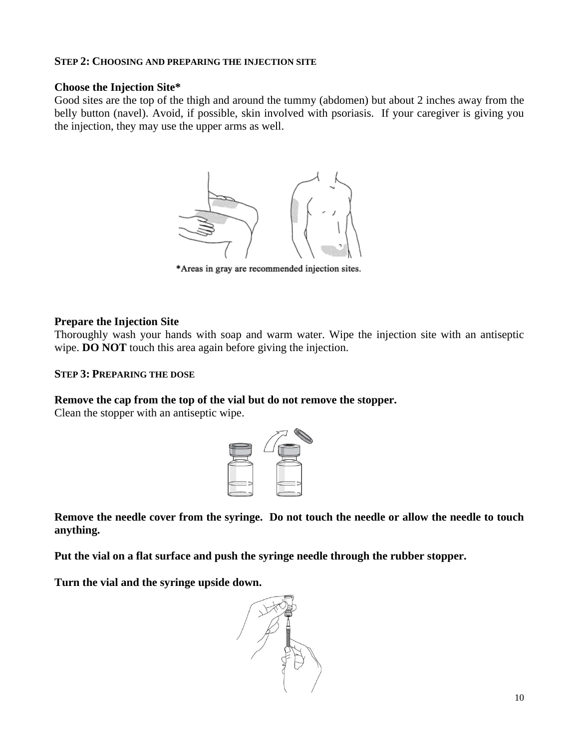### **STEP 2: CHOOSING AND PREPARING THE INJECTION SITE**

### **Choose the Injection Site\***

Good sites are the top of the thigh and around the tummy (abdomen) but about 2 inches away from the belly button (navel). Avoid, if possible, skin involved with psoriasis. If your caregiver is giving you the injection, they may use the upper arms as well.



\*Areas in gray are recommended injection sites.

### **Prepare the Injection Site**

Thoroughly wash your hands with soap and warm water. Wipe the injection site with an antiseptic wipe. **DO NOT** touch this area again before giving the injection.

### **STEP 3: PREPARING THE DOSE**

### **Remove the cap from the top of the vial but do not remove the stopper.**

Clean the stopper with an antiseptic wipe.



**Remove the needle cover from the syringe. Do not touch the needle or allow the needle to touch anything.**

**Put the vial on a flat surface and push the syringe needle through the rubber stopper.**

**Turn the vial and the syringe upside down.** 

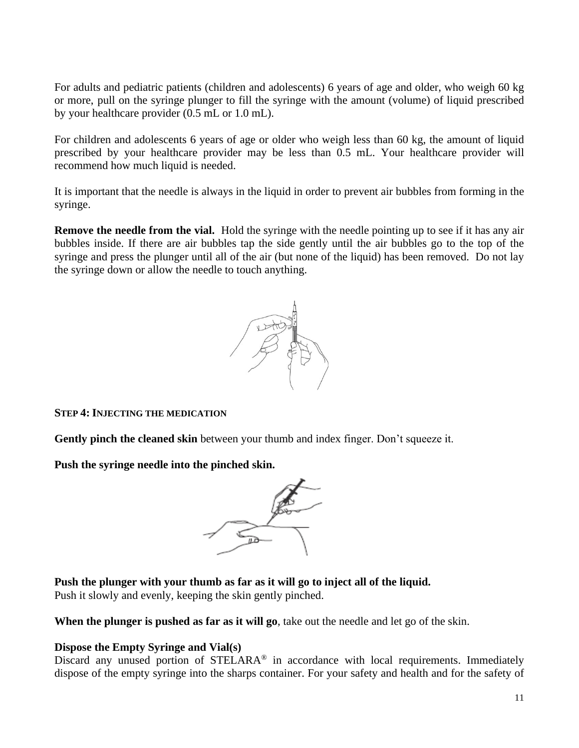For adults and pediatric patients (children and adolescents) 6 years of age and older, who weigh 60 kg or more, pull on the syringe plunger to fill the syringe with the amount (volume) of liquid prescribed by your healthcare provider (0.5 mL or 1.0 mL).

For children and adolescents 6 years of age or older who weigh less than 60 kg, the amount of liquid prescribed by your healthcare provider may be less than 0.5 mL. Your healthcare provider will recommend how much liquid is needed.

It is important that the needle is always in the liquid in order to prevent air bubbles from forming in the syringe.

**Remove the needle from the vial.** Hold the syringe with the needle pointing up to see if it has any air bubbles inside. If there are air bubbles tap the side gently until the air bubbles go to the top of the syringe and press the plunger until all of the air (but none of the liquid) has been removed. Do not lay the syringe down or allow the needle to touch anything.



### **STEP 4: INJECTING THE MEDICATION**

**Gently pinch the cleaned skin** between your thumb and index finger. Don't squeeze it.

**Push the syringe needle into the pinched skin.**



**Push the plunger with your thumb as far as it will go to inject all of the liquid.**  Push it slowly and evenly, keeping the skin gently pinched.

**When the plunger is pushed as far as it will go**, take out the needle and let go of the skin.

# **Dispose the Empty Syringe and Vial(s)**

Discard any unused portion of STELARA® in accordance with local requirements. Immediately dispose of the empty syringe into the sharps container. For your safety and health and for the safety of